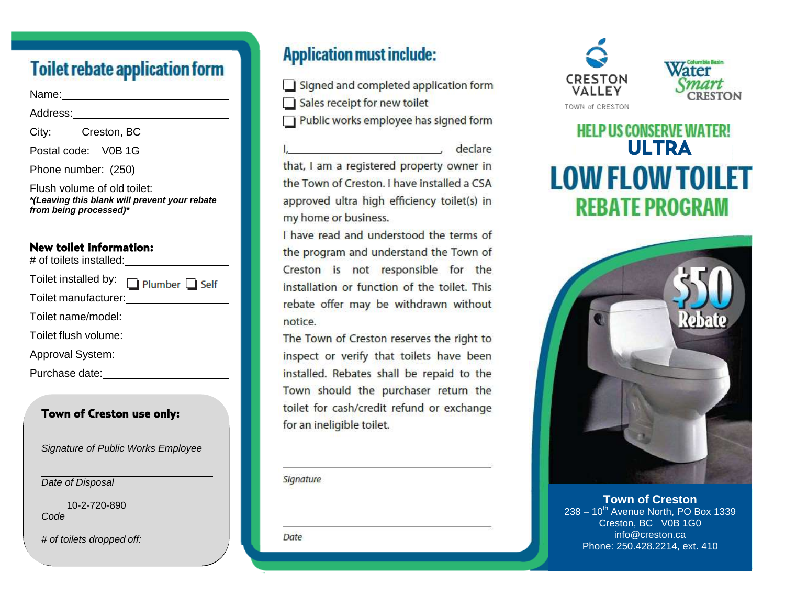# **Toilet rebate application form**

Name: when the contract of the contract of the contract of the contract of the contract of the contract of the contract of the contract of the contract of the contract of the contract of the contract of the contract of the

| Address:                                                                                               |                     |
|--------------------------------------------------------------------------------------------------------|---------------------|
| City:                                                                                                  | Creston, BC         |
|                                                                                                        | Postal code: V0B 1G |
| Phone number: (250)                                                                                    |                     |
| Flush volume of old toilet:<br>*(Leaving this blank will prevent your rebate<br>from being processed)* |                     |

#### **New toilet information:**   $H = \mathbf{f}$  to the total state  $\mathbf{f}$  is the sta

| # of tollets installed:              |  |
|--------------------------------------|--|
| Toilet installed by:<br>Plumber Self |  |
|                                      |  |
| Toilet name/model:                   |  |
| Toilet flush volume:                 |  |
| Approval System:                     |  |
| Purchase date:                       |  |

#### **Town of Creston use only:**

*Signature of Public Works Employee*

*Date of Disposal*

10-2-720-890

*Code*

*# of toilets dropped off:*

# **Application must include:**

Signed and completed application form

Sales receipt for new toilet

Public works employee has signed form

declare and the state of the state of the state of the state of the state of the state of the state of the state that, I am a registered property owner in the Town of Creston. I have installed a CSA approved ultra high efficiency toilet(s) in my home or business.

I have read and understood the terms of the program and understand the Town of Creston is not responsible for the installation or function of the toilet. This rebate offer may be withdrawn without notice.

The Town of Creston reserves the right to inspect or verify that toilets have been installed. Rebates shall be repaid to the Town should the purchaser return the toilet for cash/credit refund or exchange for an ineligible toilet.

Signature

Date



# **HELP US CONSERVE WATER!**<br>**ULTRA LOW FLOW TOILET REBATE PROGRAM**



**Town of Creston**  $238 - 10^{th}$  Avenue North, PO Box 1339 Creston, BC V0B 1G0 info@creston.ca Phone: 250.428.2214, ext. 410